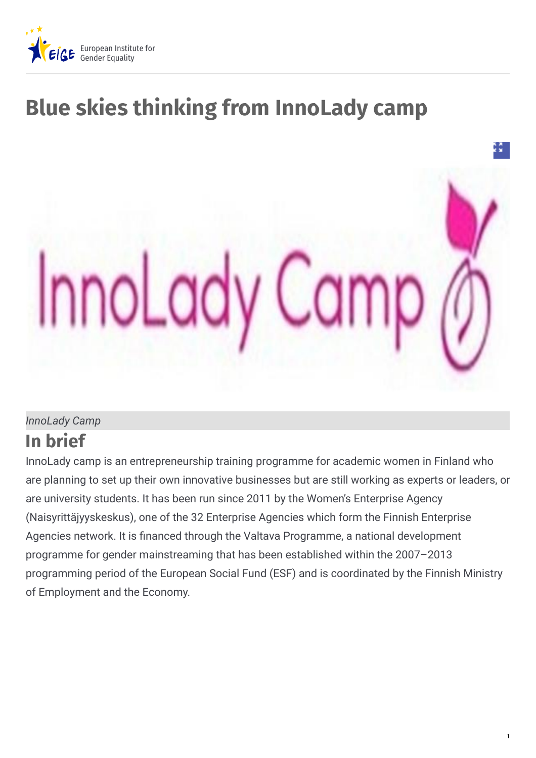

# **Blue skies thinking from InnoLady camp**



#### *InnoLady Camp*

## **In brief**

InnoLady camp is an entrepreneurship training programme for academic women in Finland who are planning to set up their own innovative businesses but are still working as experts or leaders, or are university students. It has been run since 2011 by the Women's Enterprise Agency (Naisyrittäjyyskeskus), one of the 32 Enterprise Agencies which form the Finnish Enterprise Agencies network. It is financed through the Valtava Programme, a national development programme for gender mainstreaming that has been established within the 2007–2013 programming period of the European Social Fund (ESF) and is coordinated by the Finnish Ministry of Employment and the Economy.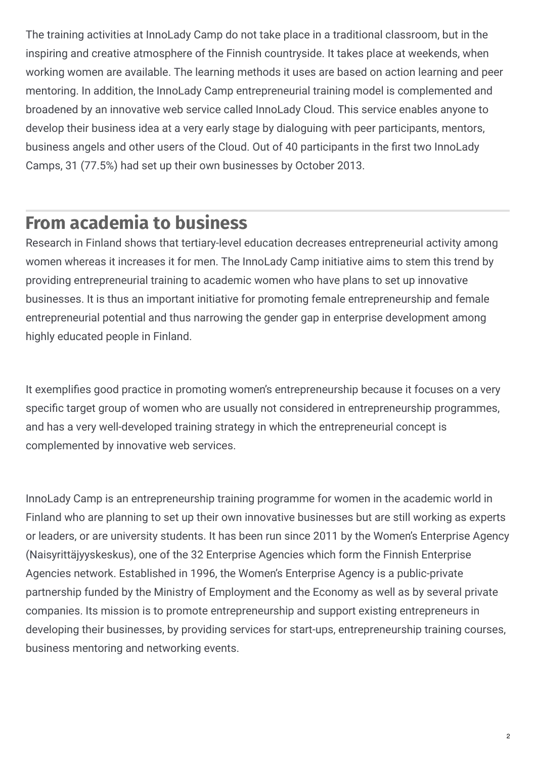The training activities at InnoLady Camp do not take place in a traditional classroom, but in the inspiring and creative atmosphere of the Finnish countryside. It takes place at weekends, when working women are available. The learning methods it uses are based on action learning and peer mentoring. In addition, the InnoLady Camp entrepreneurial training model is complemented and broadened by an innovative web service called InnoLady Cloud. This service enables anyone to develop their business idea at a very early stage by dialoguing with peer participants, mentors, business angels and other users of the Cloud. Out of 40 participants in the first two InnoLady Camps, 31 (77.5%) had set up their own businesses by October 2013.

# **From academia to business**

Research in Finland shows that tertiary-level education decreases entrepreneurial activity among women whereas it increases it for men. The InnoLady Camp initiative aims to stem this trend by providing entrepreneurial training to academic women who have plans to set up innovative businesses. It is thus an important initiative for promoting female entrepreneurship and female entrepreneurial potential and thus narrowing the gender gap in enterprise development among highly educated people in Finland.

It exemplifies good practice in promoting women's entrepreneurship because it focuses on a very specific target group of women who are usually not considered in entrepreneurship programmes, and has a very well-developed training strategy in which the entrepreneurial concept is complemented by innovative web services.

InnoLady Camp is an entrepreneurship training programme for women in the academic world in Finland who are planning to set up their own innovative businesses but are still working as experts or leaders, or are university students. It has been run since 2011 by the Women's Enterprise Agency (Naisyrittäjyyskeskus), one of the 32 Enterprise Agencies which form the Finnish Enterprise Agencies network. Established in 1996, the Women's Enterprise Agency is a public-private partnership funded by the Ministry of Employment and the Economy as well as by several private companies. Its mission is to promote entrepreneurship and support existing entrepreneurs in developing their businesses, by providing services for start-ups, entrepreneurship training courses, business mentoring and networking events.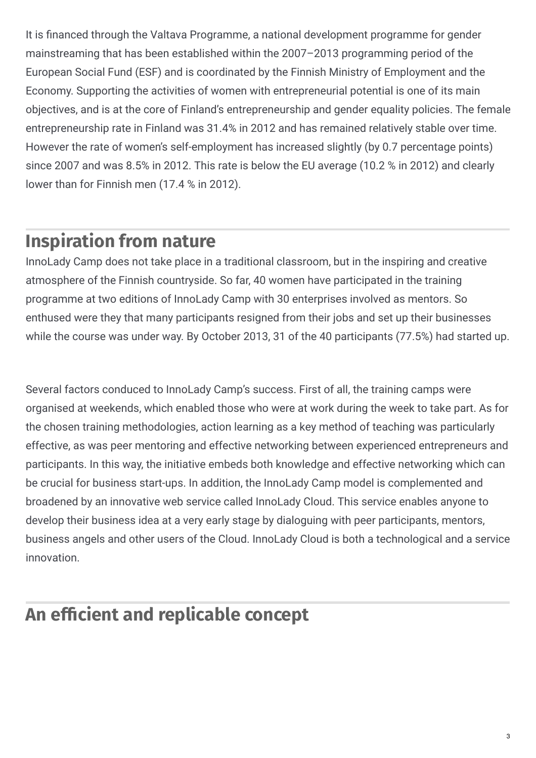It is financed through the Valtava Programme, a national development programme for gender mainstreaming that has been established within the 2007–2013 programming period of the European Social Fund (ESF) and is coordinated by the Finnish Ministry of Employment and the Economy. Supporting the activities of women with entrepreneurial potential is one of its main objectives, and is at the core of Finland's entrepreneurship and gender equality policies. The female entrepreneurship rate in Finland was 31.4% in 2012 and has remained relatively stable over time. However the rate of women's self-employment has increased slightly (by 0.7 percentage points) since 2007 and was 8.5% in 2012. This rate is below the EU average (10.2 % in 2012) and clearly lower than for Finnish men (17.4 % in 2012).

# **Inspiration from nature**

InnoLady Camp does not take place in a traditional classroom, but in the inspiring and creative atmosphere of the Finnish countryside. So far, 40 women have participated in the training programme at two editions of InnoLady Camp with 30 enterprises involved as mentors. So enthused were they that many participants resigned from their jobs and set up their businesses while the course was under way. By October 2013, 31 of the 40 participants (77.5%) had started up.

Several factors conduced to InnoLady Camp's success. First of all, the training camps were organised at weekends, which enabled those who were at work during the week to take part. As for the chosen training methodologies, action learning as a key method of teaching was particularly effective, as was peer mentoring and effective networking between experienced entrepreneurs and participants. In this way, the initiative embeds both knowledge and effective networking which can be crucial for business start-ups. In addition, the InnoLady Camp model is complemented and broadened by an innovative web service called InnoLady Cloud. This service enables anyone to develop their business idea at a very early stage by dialoguing with peer participants, mentors, business angels and other users of the Cloud. InnoLady Cloud is both a technological and a service innovation.

# **An** efficient and replicable concept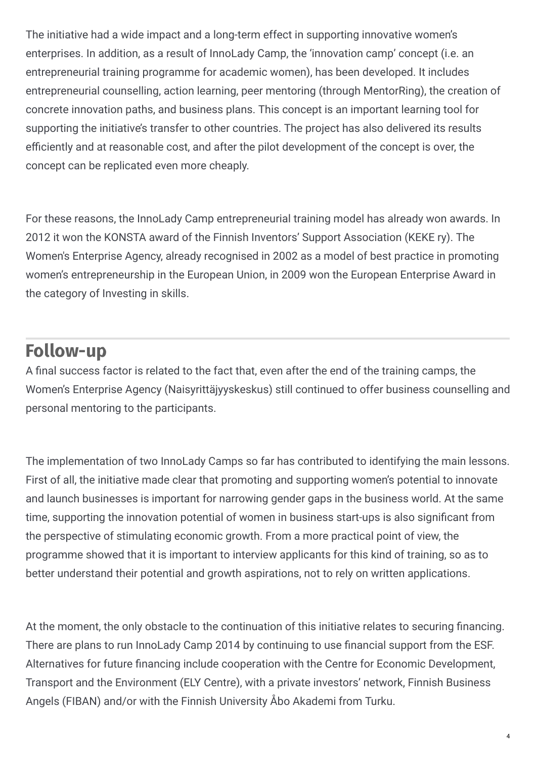The initiative had a wide impact and a long-term effect in supporting innovative women's enterprises. In addition, as a result of InnoLady Camp, the 'innovation camp' concept (i.e. an entrepreneurial training programme for academic women), has been developed. It includes entrepreneurial counselling, action learning, peer mentoring (through MentorRing), the creation of concrete innovation paths, and business plans. This concept is an important learning tool for supporting the initiative's transfer to other countries. The project has also delivered its results efficiently and at reasonable cost, and after the pilot development of the concept is over, the concept can be replicated even more cheaply.

For these reasons, the InnoLady Camp entrepreneurial training model has already won awards. In 2012 it won the KONSTA award of the Finnish Inventors' Support Association (KEKE ry). The Women's Enterprise Agency, already recognised in 2002 as a model of best practice in promoting women's entrepreneurship in the European Union, in 2009 won the European Enterprise Award in the category of Investing in skills.

## **Follow-up**

A final success factor is related to the fact that, even after the end of the training camps, the Women's Enterprise Agency (Naisyrittäjyyskeskus) still continued to offer business counselling and personal mentoring to the participants.

The implementation of two InnoLady Camps so far has contributed to identifying the main lessons. First of all, the initiative made clear that promoting and supporting women's potential to innovate and launch businesses is important for narrowing gender gaps in the business world. At the same time, supporting the innovation potential of women in business start-ups is also significant from the perspective of stimulating economic growth. From a more practical point of view, the programme showed that it is important to interview applicants for this kind of training, so as to better understand their potential and growth aspirations, not to rely on written applications.

At the moment, the only obstacle to the continuation of this initiative relates to securing financing. There are plans to run InnoLady Camp 2014 by continuing to use financial support from the ESF. Alternatives for future financing include cooperation with the Centre for Economic Development, Transport and the Environment (ELY Centre), with a private investors' network, Finnish Business Angels (FIBAN) and/or with the Finnish University Åbo Akademi from Turku.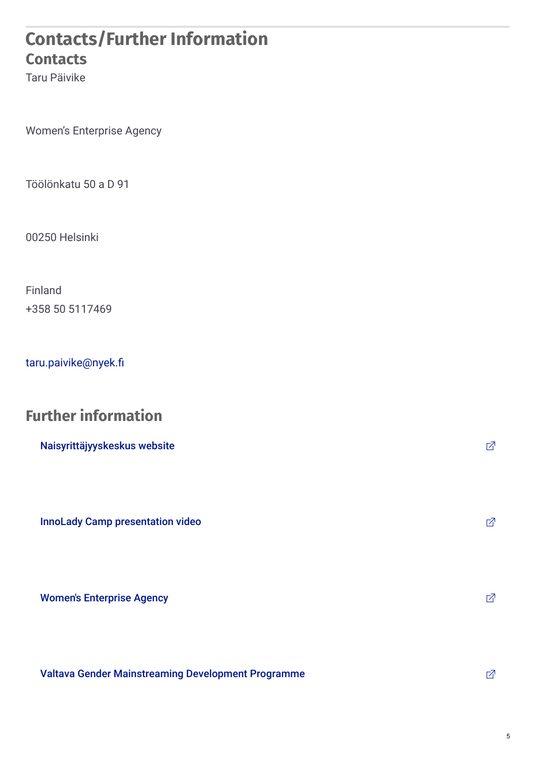#### **Contacts/Further Information Contacts**

Taru Päivike

Women's Enterprise Agency

Töölönkatu 50 a D 91

00250 Helsinki

Finland +358 50 5117469

taru.paivike@nyek.fi

## **Further information**

| Naisyrittäjyyskeskus website            | 囨 |
|-----------------------------------------|---|
| <b>InnoLady Camp presentation video</b> | 囨 |
| <b>Women's Enterprise Agency</b>        | 囨 |

Valtava Gender [Mainstreaming](https://www.tem.fi/en/ministry/gender_equality/development_programme_valtava) Development Programme<br>  $\Box$